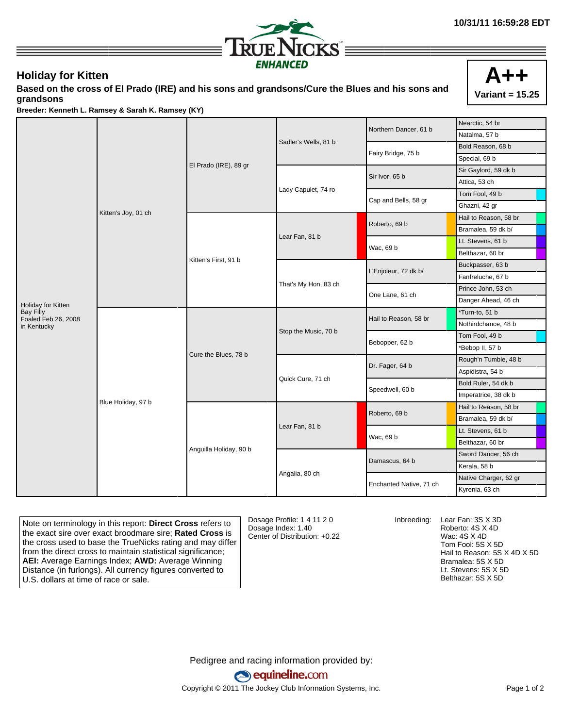

## **Holiday for Kitten**

**Based on the cross of El Prado (IRE) and his sons and grandsons/Cure the Blues and his sons and grandsons**



**Breeder: Kenneth L. Ramsey & Sarah K. Ramsey (KY)**

|                                         | Kitten's Joy, 01 ch | El Prado (IRE), 89 gr  |                      | Northern Dancer, 61 b   | Nearctic, 54 br       |
|-----------------------------------------|---------------------|------------------------|----------------------|-------------------------|-----------------------|
|                                         |                     |                        |                      |                         | Natalma, 57 b         |
|                                         |                     |                        | Sadler's Wells, 81 b |                         | Bold Reason, 68 b     |
|                                         |                     |                        |                      | Fairy Bridge, 75 b      | Special, 69 b         |
|                                         |                     |                        |                      | Sir Ivor, 65 b          | Sir Gaylord, 59 dk b  |
|                                         |                     |                        |                      |                         | Attica, 53 ch         |
|                                         |                     |                        | Lady Capulet, 74 ro  | Cap and Bells, 58 gr    | Tom Fool, 49 b        |
|                                         |                     |                        |                      |                         | Ghazni, 42 gr         |
|                                         |                     | Kitten's First, 91 b   |                      |                         | Hail to Reason, 58 br |
|                                         |                     |                        | Lear Fan, 81 b       | Roberto, 69 b           | Bramalea, 59 dk b/    |
|                                         |                     |                        |                      | Wac, 69 b               | Lt. Stevens, 61 b     |
|                                         |                     |                        |                      |                         | Belthazar, 60 br      |
|                                         |                     |                        | That's My Hon, 83 ch | L'Enjoleur, 72 dk b/    | Buckpasser, 63 b      |
|                                         |                     |                        |                      |                         | Fanfreluche, 67 b     |
|                                         |                     |                        |                      | One Lane, 61 ch         | Prince John, 53 ch    |
| Holiday for Kitten                      |                     |                        |                      |                         | Danger Ahead, 46 ch   |
| <b>Bay Filly</b><br>Foaled Feb 26, 2008 | Blue Holiday, 97 b  | Cure the Blues, 78 b   | Stop the Music, 70 b | Hail to Reason, 58 br   | *Turn-to, 51 b        |
| in Kentucky                             |                     |                        |                      |                         | Nothirdchance, 48 b   |
|                                         |                     |                        |                      | Bebopper, 62 b          | Tom Fool, 49 b        |
|                                         |                     |                        |                      |                         | *Bebop II, 57 b       |
|                                         |                     |                        |                      |                         | Rough'n Tumble, 48 b  |
|                                         |                     |                        |                      | Dr. Fager, 64 b         | Aspidistra, 54 b      |
|                                         |                     |                        | Quick Cure, 71 ch    | Speedwell, 60 b         | Bold Ruler, 54 dk b   |
|                                         |                     |                        |                      |                         | Imperatrice, 38 dk b  |
|                                         |                     | Anguilla Holiday, 90 b | Lear Fan, 81 b       | Roberto, 69 b           | Hail to Reason, 58 br |
|                                         |                     |                        |                      |                         | Bramalea, 59 dk b/    |
|                                         |                     |                        |                      | Wac, 69 b               | Lt. Stevens, 61 b     |
|                                         |                     |                        |                      |                         | Belthazar, 60 br      |
|                                         |                     |                        |                      | Damascus, 64 b          | Sword Dancer, 56 ch   |
|                                         |                     |                        |                      |                         | Kerala, 58 b          |
|                                         |                     |                        | Angalia, 80 ch       |                         | Native Charger, 62 gr |
|                                         |                     |                        |                      | Enchanted Native, 71 ch | Kyrenia, 63 ch        |

Note on terminology in this report: **Direct Cross** refers to the exact sire over exact broodmare sire; **Rated Cross** is the cross used to base the TrueNicks rating and may differ from the direct cross to maintain statistical significance; **AEI:** Average Earnings Index; **AWD:** Average Winning Distance (in furlongs). All currency figures converted to U.S. dollars at time of race or sale.

Dosage Profile: 1 4 11 2 0 Dosage Index: 1.40 Center of Distribution: +0.22

Inbreeding: Lear Fan: 3S X 3D Roberto: 4S X 4D Wac: 4S X 4D Tom Fool: 5S X 5D Hail to Reason: 5S X 4D X 5D Bramalea: 5S X 5D Lt. Stevens: 5S X 5D Belthazar: 5S X 5D

Pedigree and racing information provided by: equineline.com Copyright © 2011 The Jockey Club Information Systems, Inc. example 2012 Page 1 of 2